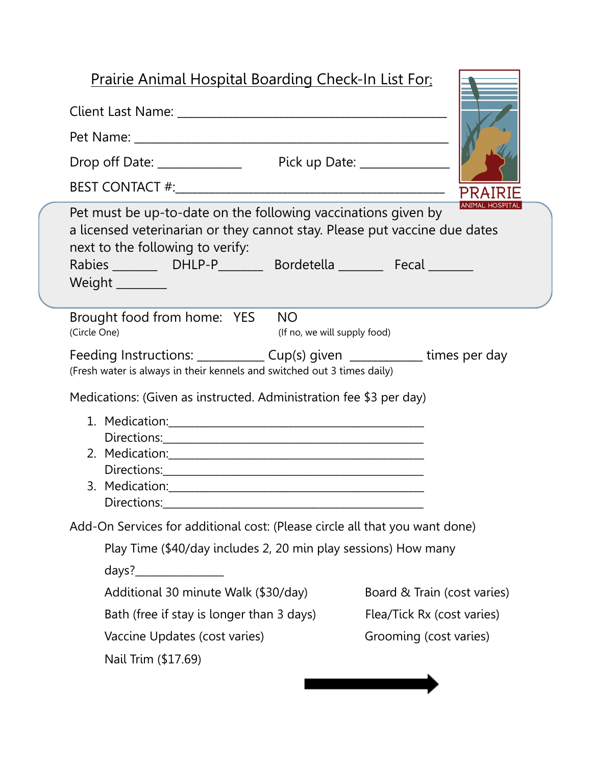## Prairie Animal Hospital Boarding Check-In List For:

| Pet must be up-to-date on the following vaccinations given by<br>a licensed veterinarian or they cannot stay. Please put vaccine due dates<br>next to the following to verify:<br>Weight _________ |                             |
|----------------------------------------------------------------------------------------------------------------------------------------------------------------------------------------------------|-----------------------------|
| Brought food from home: YES<br><b>NO</b><br>(Circle One)<br>(If no, we will supply food)                                                                                                           |                             |
| Feeding Instructions: ______________ Cup(s) given _____________ times per day<br>(Fresh water is always in their kennels and switched out 3 times daily)                                           |                             |
| Medications: (Given as instructed. Administration fee \$3 per day)                                                                                                                                 |                             |
|                                                                                                                                                                                                    |                             |
|                                                                                                                                                                                                    |                             |
|                                                                                                                                                                                                    |                             |
|                                                                                                                                                                                                    |                             |
|                                                                                                                                                                                                    |                             |
| Add-On Services for additional cost: (Please circle all that you want done)                                                                                                                        |                             |
| Play Time (\$40/day includes 2, 20 min play sessions) How many                                                                                                                                     |                             |
| days?_                                                                                                                                                                                             |                             |
| Additional 30 minute Walk (\$30/day)                                                                                                                                                               | Board & Train (cost varies) |
| Bath (free if stay is longer than 3 days)                                                                                                                                                          | Flea/Tick Rx (cost varies)  |
| Vaccine Updates (cost varies)                                                                                                                                                                      | Grooming (cost varies)      |
| Nail Trim (\$17.69)                                                                                                                                                                                |                             |
|                                                                                                                                                                                                    |                             |